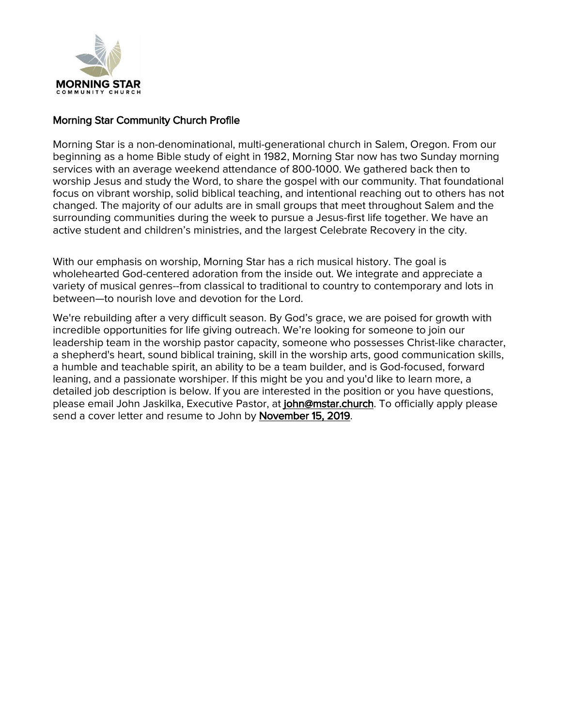

### Morning Star Community Church Profile

Morning Star is a non-denominational, multi-generational church in Salem, Oregon. From our beginning as a home Bible study of eight in 1982, Morning Star now has two Sunday morning services with an average weekend attendance of 800-1000. We gathered back then to worship Jesus and study the Word, to share the gospel with our community. That foundational focus on vibrant worship, solid biblical teaching, and intentional reaching out to others has not changed. The majority of our adults are in small groups that meet throughout Salem and the surrounding communities during the week to pursue a Jesus-first life together. We have an active student and children's ministries, and the largest Celebrate Recovery in the city.

With our emphasis on worship, Morning Star has a rich musical history. The goal is wholehearted God-centered adoration from the inside out. We integrate and appreciate a variety of musical genres--from classical to traditional to country to contemporary and lots in between—to nourish love and devotion for the Lord.

We're rebuilding after a very difficult season. By God's grace, we are poised for growth with incredible opportunities for life giving outreach. We're looking for someone to join our leadership team in the worship pastor capacity, someone who possesses Christ-like character, a shepherd's heart, sound biblical training, skill in the worship arts, good communication skills, a humble and teachable spirit, an ability to be a team builder, and is God-focused, forward leaning, and a passionate worshiper. If this might be you and you'd like to learn more, a detailed job description is below. If you are interested in the position or you have questions, please email John Jaskilka, Executive Pastor, at john@mstar.church. To officially apply please send a cover letter and resume to John by November 15, 2019.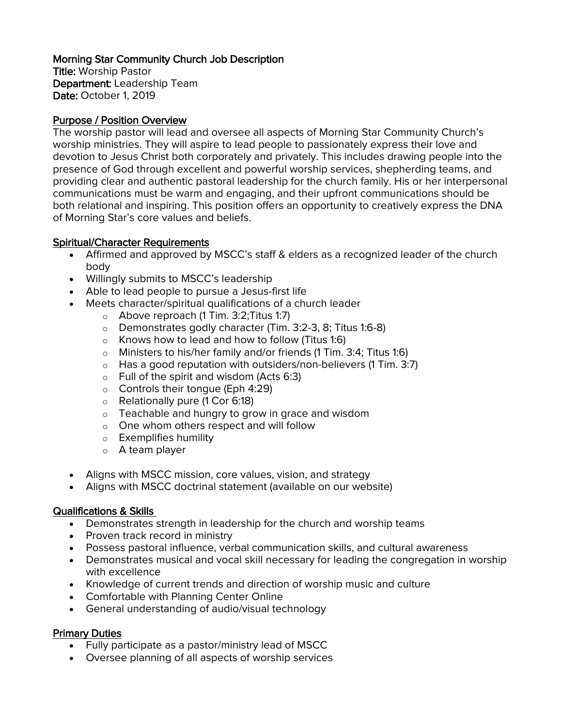# Morning Star Community Church Job Description

Title: Worship Pastor Department: Leadership Team Date: October 1, 2019

### Purpose / Position Overview

The worship pastor will lead and oversee all aspects of Morning Star Community Church's worship ministries. They will aspire to lead people to passionately express their love and devotion to Jesus Christ both corporately and privately. This includes drawing people into the presence of God through excellent and powerful worship services, shepherding teams, and providing clear and authentic pastoral leadership for the church family. His or her interpersonal communications must be warm and engaging, and their upfront communications should be both relational and inspiring. This position offers an opportunity to creatively express the DNA of Morning Star's core values and beliefs.

### Spiritual/Character Requirements

- Affirmed and approved by MSCC's staff & elders as a recognized leader of the church body
- Willingly submits to MSCC's leadership
- Able to lead people to pursue a Jesus-first life
- Meets character/spiritual qualifications of a church leader
	- o Above reproach (1 Tim. 3:2;Titus 1:7)
	- o Demonstrates godly character (Tim. 3:2-3, 8; Titus 1:6-8)
	- o Knows how to lead and how to follow (Titus 1:6)
	- o Ministers to his/her family and/or friends (1 Tim. 3:4; Titus 1:6)
	- $\circ$  Has a good reputation with outsiders/non-believers (1 Tim. 3:7)
	- $\circ$  Full of the spirit and wisdom (Acts 6:3)
	- o Controls their tongue (Eph 4:29)
	- o Relationally pure (1 Cor 6:18)
	- o Teachable and hungry to grow in grace and wisdom
	- o One whom others respect and will follow
	- o Exemplifies humility
	- o A team player
- Aligns with MSCC mission, core values, vision, and strategy
- Aligns with MSCC doctrinal statement (available on our website)

# Qualifications & Skills

- Demonstrates strength in leadership for the church and worship teams
- Proven track record in ministry
- Possess pastoral influence, verbal communication skills, and cultural awareness
- Demonstrates musical and vocal skill necessary for leading the congregation in worship with excellence
- Knowledge of current trends and direction of worship music and culture
- Comfortable with Planning Center Online
- General understanding of audio/visual technology

#### Primary Duties

- Fully participate as a pastor/ministry lead of MSCC
- Oversee planning of all aspects of worship services